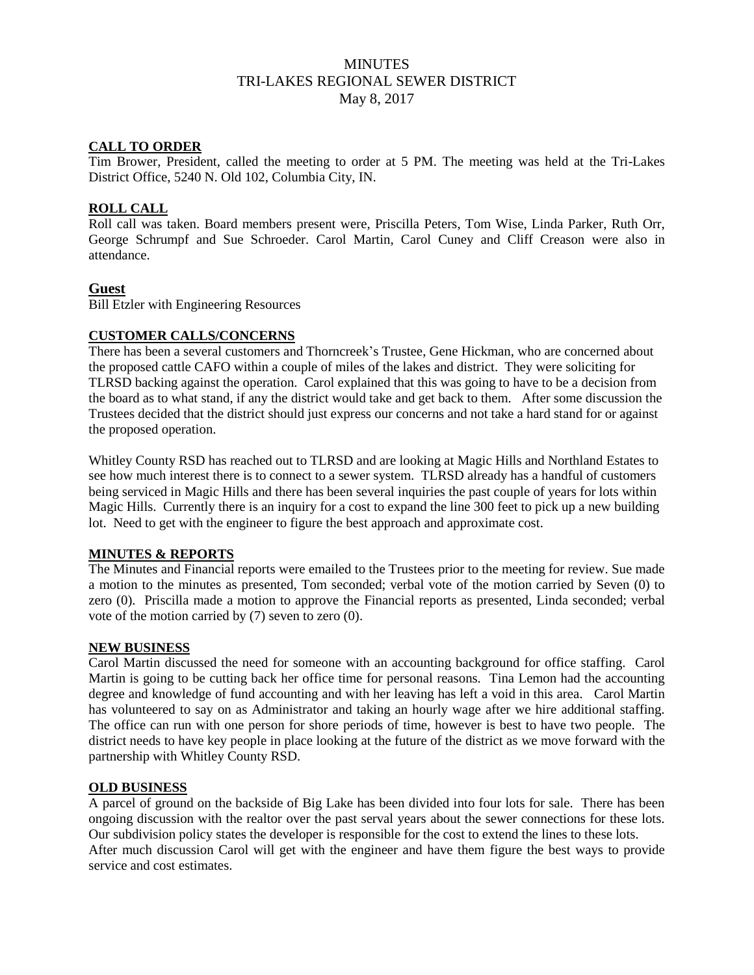# **MINUTES** TRI-LAKES REGIONAL SEWER DISTRICT May 8, 2017

## **CALL TO ORDER**

Tim Brower, President, called the meeting to order at 5 PM. The meeting was held at the Tri-Lakes District Office, 5240 N. Old 102, Columbia City, IN.

#### **ROLL CALL**

Roll call was taken. Board members present were, Priscilla Peters, Tom Wise, Linda Parker, Ruth Orr, George Schrumpf and Sue Schroeder. Carol Martin, Carol Cuney and Cliff Creason were also in attendance.

# **Guest**

Bill Etzler with Engineering Resources

#### **CUSTOMER CALLS/CONCERNS**

There has been a several customers and Thorncreek's Trustee, Gene Hickman, who are concerned about the proposed cattle CAFO within a couple of miles of the lakes and district. They were soliciting for TLRSD backing against the operation. Carol explained that this was going to have to be a decision from the board as to what stand, if any the district would take and get back to them. After some discussion the Trustees decided that the district should just express our concerns and not take a hard stand for or against the proposed operation.

Whitley County RSD has reached out to TLRSD and are looking at Magic Hills and Northland Estates to see how much interest there is to connect to a sewer system. TLRSD already has a handful of customers being serviced in Magic Hills and there has been several inquiries the past couple of years for lots within Magic Hills. Currently there is an inquiry for a cost to expand the line 300 feet to pick up a new building lot. Need to get with the engineer to figure the best approach and approximate cost.

# **MINUTES & REPORTS**

The Minutes and Financial reports were emailed to the Trustees prior to the meeting for review. Sue made a motion to the minutes as presented, Tom seconded; verbal vote of the motion carried by Seven (0) to zero (0). Priscilla made a motion to approve the Financial reports as presented, Linda seconded; verbal vote of the motion carried by (7) seven to zero (0).

#### **NEW BUSINESS**

Carol Martin discussed the need for someone with an accounting background for office staffing. Carol Martin is going to be cutting back her office time for personal reasons. Tina Lemon had the accounting degree and knowledge of fund accounting and with her leaving has left a void in this area. Carol Martin has volunteered to say on as Administrator and taking an hourly wage after we hire additional staffing. The office can run with one person for shore periods of time, however is best to have two people. The district needs to have key people in place looking at the future of the district as we move forward with the partnership with Whitley County RSD.

# **OLD BUSINESS**

A parcel of ground on the backside of Big Lake has been divided into four lots for sale. There has been ongoing discussion with the realtor over the past serval years about the sewer connections for these lots. Our subdivision policy states the developer is responsible for the cost to extend the lines to these lots. After much discussion Carol will get with the engineer and have them figure the best ways to provide service and cost estimates.